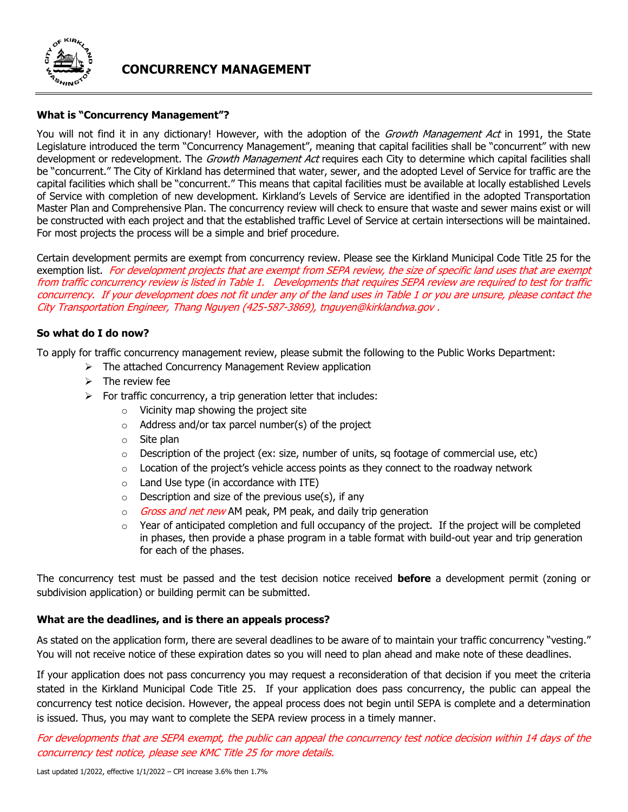

# **CONCURRENCY MANAGEMENT**

## **What is "Concurrency Management"?**

You will not find it in any dictionary! However, with the adoption of the Growth Management Act in 1991, the State Legislature introduced the term "Concurrency Management", meaning that capital facilities shall be "concurrent" with new development or redevelopment. The Growth Management Act requires each City to determine which capital facilities shall be "concurrent." The City of Kirkland has determined that water, sewer, and the adopted Level of Service for traffic are the capital facilities which shall be "concurrent." This means that capital facilities must be available at locally established Levels of Service with completion of new development. Kirkland's Levels of Service are identified in the adopted Transportation Master Plan and Comprehensive Plan. The concurrency review will check to ensure that waste and sewer mains exist or will be constructed with each project and that the established traffic Level of Service at certain intersections will be maintained. For most projects the process will be a simple and brief procedure.

Certain development permits are exempt from concurrency review. Please see the Kirkland Municipal Code Title 25 for the exemption list. For development projects that are exempt from SEPA review, the size of specific land uses that are exempt from traffic concurrency review is listed in Table 1. Developments that requires SEPA review are required to test for traffic concurrency. If your development does not fit under any of the land uses in Table 1 or you are unsure, please contact the City Transportation Engineer, Thang Nguyen (425-587-3869), tnguyen@kirklandwa.gov .

## **So what do I do now?**

To apply for traffic concurrency management review, please submit the following to the Public Works Department:

- ➢ The attached Concurrency Management Review application
- $\triangleright$  The review fee
- $\triangleright$  For traffic concurrency, a trip generation letter that includes:
	- o Vicinity map showing the project site
	- $\circ$  Address and/or tax parcel number(s) of the project
	- o Site plan
	- $\circ$  Description of the project (ex: size, number of units, sq footage of commercial use, etc)
	- $\circ$  Location of the project's vehicle access points as they connect to the roadway network
	- $\circ$  Land Use type (in accordance with ITE)
	- $\circ$  Description and size of the previous use(s), if any
	- $\circ$  *Gross and net new* AM peak, PM peak, and daily trip generation
	- $\circ$  Year of anticipated completion and full occupancy of the project. If the project will be completed in phases, then provide a phase program in a table format with build-out year and trip generation for each of the phases.

The concurrency test must be passed and the test decision notice received **before** a development permit (zoning or subdivision application) or building permit can be submitted.

## **What are the deadlines, and is there an appeals process?**

As stated on the application form, there are several deadlines to be aware of to maintain your traffic concurrency "vesting." You will not receive notice of these expiration dates so you will need to plan ahead and make note of these deadlines.

If your application does not pass concurrency you may request a reconsideration of that decision if you meet the criteria stated in the Kirkland Municipal Code Title 25. If your application does pass concurrency, the public can appeal the concurrency test notice decision. However, the appeal process does not begin until SEPA is complete and a determination is issued. Thus, you may want to complete the SEPA review process in a timely manner.

For developments that are SEPA exempt, the public can appeal the concurrency test notice decision within 14 days of the concurrency test notice, please see KMC Title 25 for more details.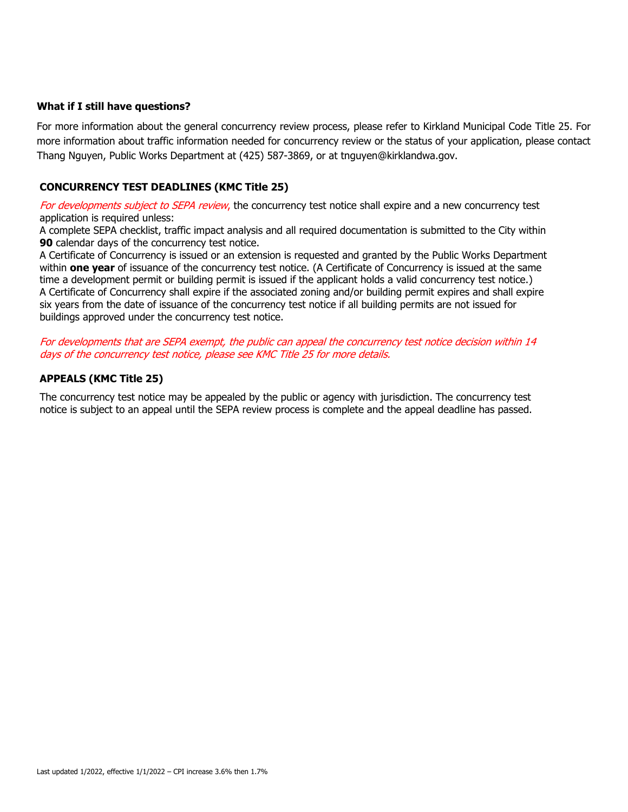#### **What if I still have questions?**

For more information about the general concurrency review process, please refer to Kirkland Municipal Code Title 25. For more information about traffic information needed for concurrency review or the status of your application, please contact Thang Nguyen, Public Works Department at (425) 587-3869, or at tnguyen@kirklandwa.gov.

## **CONCURRENCY TEST DEADLINES (KMC Title 25)**

For developments subject to SEPA review, the concurrency test notice shall expire and a new concurrency test application is required unless:

1. A complete SEPA checklist, traffic impact analysis and all required documentation is submitted to the City within **90** calendar days of the concurrency test notice.

2. A Certificate of Concurrency is issued or an extension is requested and granted by the Public Works Department within **one year** of issuance of the concurrency test notice. (A Certificate of Concurrency is issued at the same time a development permit or building permit is issued if the applicant holds a valid concurrency test notice.) 3. A Certificate of Concurrency shall expire if the associated zoning and/or building permit expires and shall expire six years from the date of issuance of the concurrency test notice if all building permits are not issued for buildings approved under the concurrency test notice.

For developments that are SEPA exempt, the public can appeal the concurrency test notice decision within 14 days of the concurrency test notice, please see KMC Title 25 for more details.

## **APPEALS (KMC Title 25)**

The concurrency test notice may be appealed by the public or agency with jurisdiction. The concurrency test notice is subject to an appeal until the SEPA review process is complete and the appeal deadline has passed.